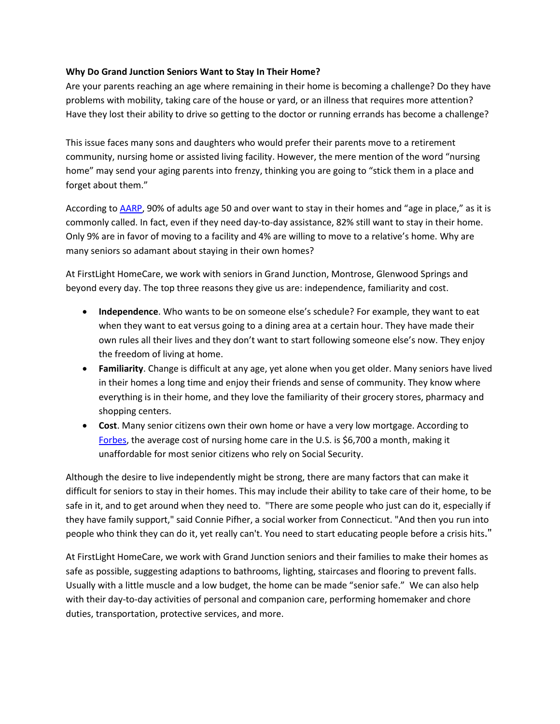## **Why Do Grand Junction Seniors Want to Stay In Their Home?**

Are your parents reaching an age where remaining in their home is becoming a challenge? Do they have problems with mobility, taking care of the house or yard, or an illness that requires more attention? Have they lost their ability to drive so getting to the doctor or running errands has become a challenge?

This issue faces many sons and daughters who would prefer their parents move to a retirement community, nursing home or assisted living facility. However, the mere mention of the word "nursing home" may send your aging parents into frenzy, thinking you are going to "stick them in a place and forget about them."

According to [AARP,](http://states.aarp.org/aging-in-place-helping-connecticut-seniors-live-independently-sc-ct-wp-home/) 90% of adults age 50 and over want to stay in their homes and "age in place," as it is commonly called. In fact, even if they need day-to-day assistance, 82% still want to stay in their home. Only 9% are in favor of moving to a facility and 4% are willing to move to a relative's home. Why are many seniors so adamant about staying in their own homes?

At FirstLight HomeCare, we work with seniors in Grand Junction, Montrose, Glenwood Springs and beyond every day. The top three reasons they give us are: independence, familiarity and cost.

- **Independence**. Who wants to be on someone else's schedule? For example, they want to eat when they want to eat versus going to a dining area at a certain hour. They have made their own rules all their lives and they don't want to start following someone else's now. They enjoy the freedom of living at home.
- **Familiarity**. Change is difficult at any age, yet alone when you get older. Many seniors have lived in their homes a long time and enjoy their friends and sense of community. They know where everything is in their home, and they love the familiarity of their grocery stores, pharmacy and shopping centers.
- **Cost**. Many senior citizens own their own home or have a very low mortgage. According to [Forbes,](http://www.forbes.com/sites/nextavenue/2013/09/13/how-can-we-keep-seniors-in-their-homes-as-long-as-possible/) the average cost of nursing home care in the U.S. is \$6,700 a month, making it unaffordable for most senior citizens who rely on Social Security.

Although the desire to live independently might be strong, there are many factors that can make it difficult for seniors to stay in their homes. This may include their ability to take care of their home, to be safe in it, and to get around when they need to. "There are some people who just can do it, especially if they have family support," said Connie Pifher, a social worker from Connecticut. "And then you run into people who think they can do it, yet really can't. You need to start educating people before a crisis hits."

At FirstLight HomeCare, we work with Grand Junction seniors and their families to make their homes as safe as possible, suggesting adaptions to bathrooms, lighting, staircases and flooring to prevent falls. Usually with a little muscle and a low budget, the home can be made "senior safe." We can also help with their day-to-day activities of personal and companion care, performing homemaker and chore duties, transportation, protective services, and more.